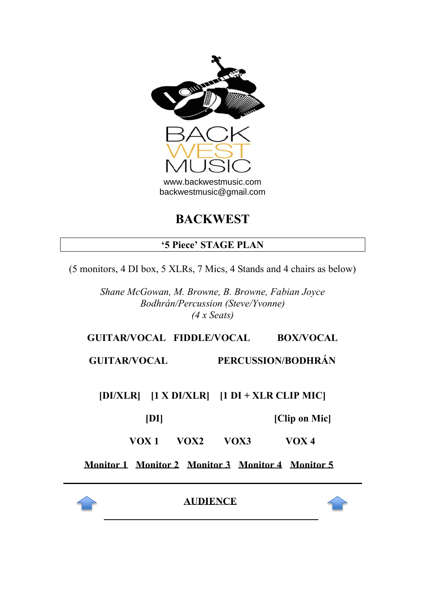

# **BACKWEST**

## **'5 Piece' STAGE PLAN**

(5 monitors, 4 DI box, 5 XLRs, 7 Mics, 4 Stands and 4 chairs as below)

*Shane McGowan, M. Browne, B. Browne, Fabian Joyce Bodhrán/Percussion (Steve/Yvonne) (4 x Seats)*

## **GUITAR/VOCAL FIDDLE/VOCAL BOX/VOCAL**

**GUITAR/VOCAL PERCUSSION/BODHRÁN**

**[DI/XLR] [1 X DI/XLR] [1 DI + XLR CLIP MIC]**

**[DI] [Clip on Mic]**

**VOX 1 VOX2 VOX3 VOX 4** 

**Monitor 1 Monitor 2 Monitor 3 Monitor 4 Monitor 5**



**AUDIENCE**

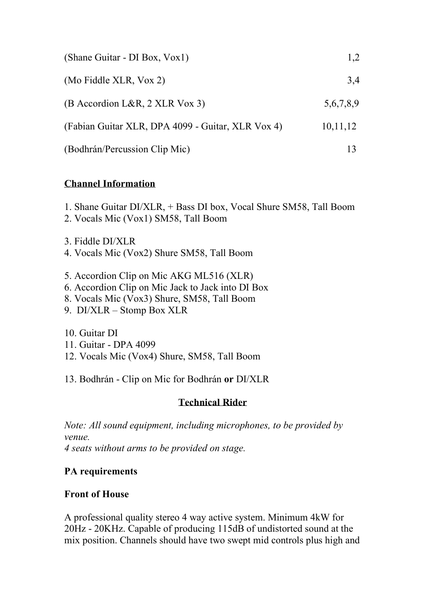| (Shane Guitar - DI Box, Vox1)                     | 1,2       |
|---------------------------------------------------|-----------|
| (Mo Fiddle XLR, Vox 2)                            | 3,4       |
| $(B$ Accordion L&R, 2 XLR Vox 3)                  | 5,6,7,8,9 |
| (Fabian Guitar XLR, DPA 4099 - Guitar, XLR Vox 4) | 10,11,12  |
| (Bodhrán/Percussion Clip Mic)                     | 13        |

#### **Channel Information**

1. Shane Guitar DI/XLR, + Bass DI box, Vocal Shure SM58, Tall Boom

2. Vocals Mic (Vox1) SM58, Tall Boom

3. Fiddle DI/XLR

- 4. Vocals Mic (Vox2) Shure SM58, Tall Boom
- 5. Accordion Clip on Mic AKG ML516 (XLR)
- 6. Accordion Clip on Mic Jack to Jack into DI Box
- 8. Vocals Mic (Vox3) Shure, SM58, Tall Boom
- 9. DI/XLR Stomp Box XLR

10. Guitar DI

- 11. Guitar DPA 4099
- 12. Vocals Mic (Vox4) Shure, SM58, Tall Boom

13. Bodhrán - Clip on Mic for Bodhrán **or** DI/XLR

## **Technical Rider**

*Note: All sound equipment, including microphones, to be provided by venue. 4 seats without arms to be provided on stage.* 

# **PA requirements**

## **Front of House**

A professional quality stereo 4 way active system. Minimum 4kW for 20Hz - 20KHz. Capable of producing 115dB of undistorted sound at the mix position. Channels should have two swept mid controls plus high and